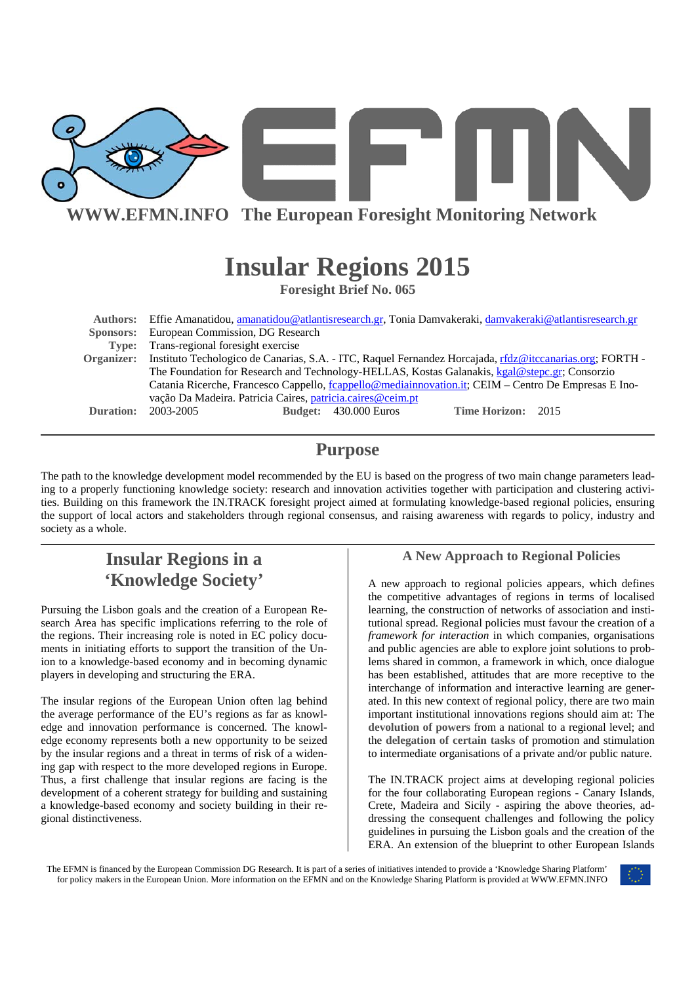

**WWW.EFMN.INFO The European Foresight Monitoring Network**

# **Insular Regions 2015**

**Foresight Brief No. 065** 

|            | Authors: Effie Amanatidou, amanatidou@atlantisresearch.gr, Tonia Damvakeraki, damvakeraki@atlantisresearch.gr                                                      |  |                              |                    |  |  |
|------------|--------------------------------------------------------------------------------------------------------------------------------------------------------------------|--|------------------------------|--------------------|--|--|
|            | <b>Sponsors:</b> European Commission, DG Research                                                                                                                  |  |                              |                    |  |  |
|            | Type: Trans-regional foresight exercise                                                                                                                            |  |                              |                    |  |  |
| Organizer: | Instituto Techologico de Canarias, S.A. - ITC, Raquel Fernandez Horcajada, rfdz@itccanarias.org; FORTH -                                                           |  |                              |                    |  |  |
|            | The Foundation for Research and Technology-HELLAS, Kostas Galanakis, kgal@stepc.gr; Consorzio                                                                      |  |                              |                    |  |  |
|            | Catania Ricerche, Francesco Cappello, fcappello@mediainnovation.it; CEIM - Centro De Empresas E Ino-<br>vação Da Madeira. Patricia Caires, patricia.caires@ceim.pt |  |                              |                    |  |  |
|            |                                                                                                                                                                    |  |                              |                    |  |  |
| Duration:  | 2003-2005                                                                                                                                                          |  | <b>Budget:</b> 430.000 Euros | Time Horizon: 2015 |  |  |

### **Purpose**

The path to the knowledge development model recommended by the EU is based on the progress of two main change parameters leading to a properly functioning knowledge society: research and innovation activities together with participation and clustering activities. Building on this framework the IN.TRACK foresight project aimed at formulating knowledge-based regional policies, ensuring the support of local actors and stakeholders through regional consensus, and raising awareness with regards to policy, industry and society as a whole.

## **Insular Regions in a 'Knowledge Society'**

Pursuing the Lisbon goals and the creation of a European Research Area has specific implications referring to the role of the regions. Their increasing role is noted in EC policy documents in initiating efforts to support the transition of the Union to a knowledge-based economy and in becoming dynamic players in developing and structuring the ERA.

The insular regions of the European Union often lag behind the average performance of the EU's regions as far as knowledge and innovation performance is concerned. The knowledge economy represents both a new opportunity to be seized by the insular regions and a threat in terms of risk of a widening gap with respect to the more developed regions in Europe. Thus, a first challenge that insular regions are facing is the development of a coherent strategy for building and sustaining a knowledge-based economy and society building in their regional distinctiveness.

#### **A New Approach to Regional Policies**

A new approach to regional policies appears, which defines the competitive advantages of regions in terms of localised learning, the construction of networks of association and institutional spread. Regional policies must favour the creation of a *framework for interaction* in which companies, organisations and public agencies are able to explore joint solutions to problems shared in common, a framework in which, once dialogue has been established, attitudes that are more receptive to the interchange of information and interactive learning are generated. In this new context of regional policy, there are two main important institutional innovations regions should aim at: The **devolution of powers** from a national to a regional level; and the **delegation of certain tasks** of promotion and stimulation to intermediate organisations of a private and/or public nature.

The IN.TRACK project aims at developing regional policies for the four collaborating European regions - Canary Islands, Crete, Madeira and Sicily - aspiring the above theories, addressing the consequent challenges and following the policy guidelines in pursuing the Lisbon goals and the creation of the ERA. An extension of the blueprint to other European Islands

The EFMN is financed by the European Commission DG Research. It is part of a series of initiatives intended to provide a 'Knowledge Sharing Platform' for policy makers in the European Union. More information on the EFMN and on the Knowledge Sharing Platform is provided at WWW.EFMN.INFO

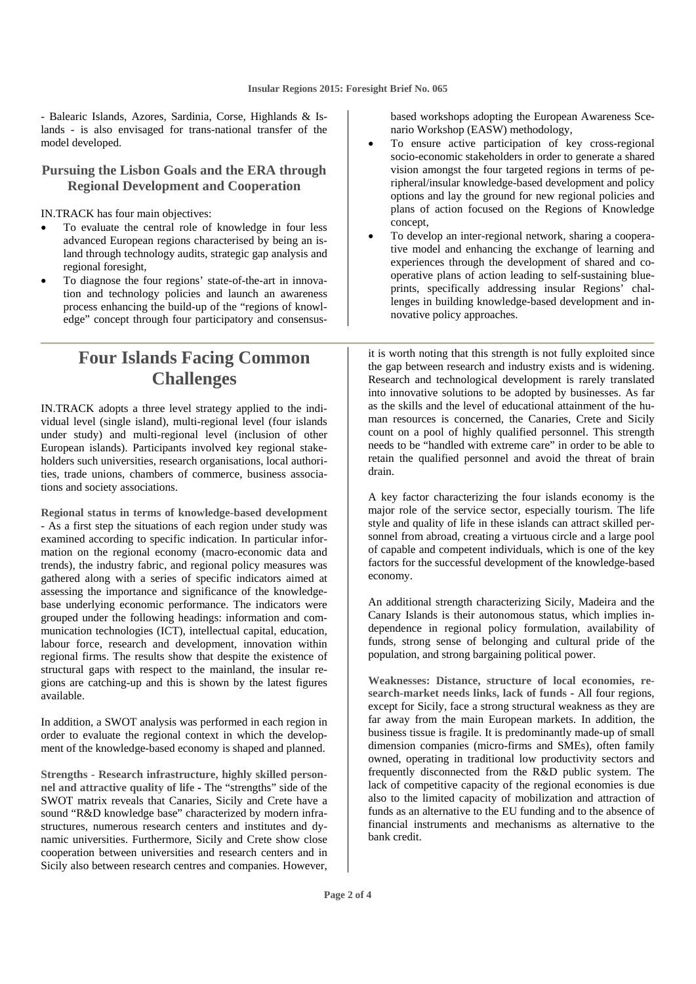- Balearic Islands, Azores, Sardinia, Corse, Highlands & Islands - is also envisaged for trans-national transfer of the model developed.

#### **Pursuing the Lisbon Goals and the ERA through Regional Development and Cooperation**

IN.TRACK has four main objectives:

- To evaluate the central role of knowledge in four less advanced European regions characterised by being an island through technology audits, strategic gap analysis and regional foresight,
- To diagnose the four regions' state-of-the-art in innovation and technology policies and launch an awareness process enhancing the build-up of the "regions of knowledge" concept through four participatory and consensus-

### **Four Islands Facing Common Challenges**

IN.TRACK adopts a three level strategy applied to the individual level (single island), multi-regional level (four islands under study) and multi-regional level (inclusion of other European islands). Participants involved key regional stakeholders such universities, research organisations, local authorities, trade unions, chambers of commerce, business associations and society associations.

**Regional status in terms of knowledge-based development**  - As a first step the situations of each region under study was examined according to specific indication. In particular information on the regional economy (macro-economic data and trends), the industry fabric, and regional policy measures was gathered along with a series of specific indicators aimed at assessing the importance and significance of the knowledgebase underlying economic performance. The indicators were grouped under the following headings: information and communication technologies (ICT), intellectual capital, education, labour force, research and development, innovation within regional firms. The results show that despite the existence of structural gaps with respect to the mainland, the insular regions are catching-up and this is shown by the latest figures available.

In addition, a SWOT analysis was performed in each region in order to evaluate the regional context in which the development of the knowledge-based economy is shaped and planned.

**Strengths - Research infrastructure, highly skilled personnel and attractive quality of life -** The "strengths" side of the SWOT matrix reveals that Canaries, Sicily and Crete have a sound "R&D knowledge base" characterized by modern infrastructures, numerous research centers and institutes and dynamic universities. Furthermore, Sicily and Crete show close cooperation between universities and research centers and in Sicily also between research centres and companies. However,

based workshops adopting the European Awareness Scenario Workshop (EASW) methodology,

- To ensure active participation of key cross-regional socio-economic stakeholders in order to generate a shared vision amongst the four targeted regions in terms of peripheral/insular knowledge-based development and policy options and lay the ground for new regional policies and plans of action focused on the Regions of Knowledge concept,
- To develop an inter-regional network, sharing a cooperative model and enhancing the exchange of learning and experiences through the development of shared and cooperative plans of action leading to self-sustaining blueprints, specifically addressing insular Regions' challenges in building knowledge-based development and innovative policy approaches.

it is worth noting that this strength is not fully exploited since the gap between research and industry exists and is widening. Research and technological development is rarely translated into innovative solutions to be adopted by businesses. As far as the skills and the level of educational attainment of the human resources is concerned, the Canaries, Crete and Sicily count on a pool of highly qualified personnel. This strength needs to be "handled with extreme care" in order to be able to retain the qualified personnel and avoid the threat of brain drain.

A key factor characterizing the four islands economy is the major role of the service sector, especially tourism. The life style and quality of life in these islands can attract skilled personnel from abroad, creating a virtuous circle and a large pool of capable and competent individuals, which is one of the key factors for the successful development of the knowledge-based economy.

An additional strength characterizing Sicily, Madeira and the Canary Islands is their autonomous status, which implies independence in regional policy formulation, availability of funds, strong sense of belonging and cultural pride of the population, and strong bargaining political power.

**Weaknesses: Distance, structure of local economies, research-market needs links, lack of funds** - All four regions, except for Sicily, face a strong structural weakness as they are far away from the main European markets. In addition, the business tissue is fragile. It is predominantly made-up of small dimension companies (micro-firms and SMEs), often family owned, operating in traditional low productivity sectors and frequently disconnected from the R&D public system. The lack of competitive capacity of the regional economies is due also to the limited capacity of mobilization and attraction of funds as an alternative to the EU funding and to the absence of financial instruments and mechanisms as alternative to the bank credit.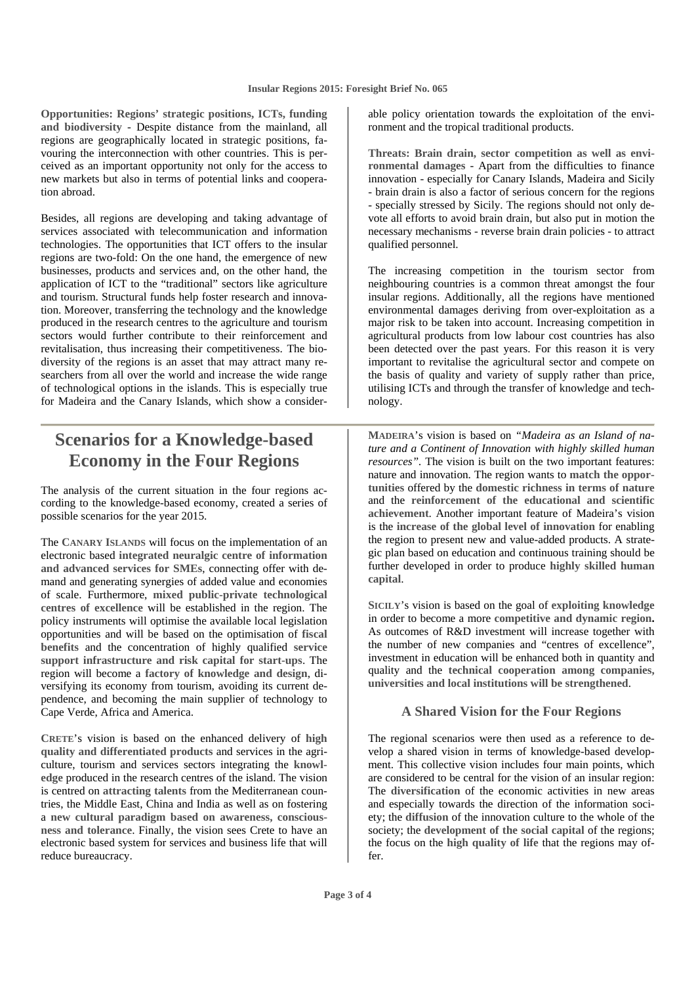**Opportunities: Regions' strategic positions, ICTs, funding and biodiversity** - Despite distance from the mainland, all regions are geographically located in strategic positions, favouring the interconnection with other countries. This is perceived as an important opportunity not only for the access to new markets but also in terms of potential links and cooperation abroad.

Besides, all regions are developing and taking advantage of services associated with telecommunication and information technologies. The opportunities that ICT offers to the insular regions are two-fold: On the one hand, the emergence of new businesses, products and services and, on the other hand, the application of ICT to the "traditional" sectors like agriculture and tourism. Structural funds help foster research and innovation. Moreover, transferring the technology and the knowledge produced in the research centres to the agriculture and tourism sectors would further contribute to their reinforcement and revitalisation, thus increasing their competitiveness. The biodiversity of the regions is an asset that may attract many researchers from all over the world and increase the wide range of technological options in the islands. This is especially true for Madeira and the Canary Islands, which show a consider-

### **Scenarios for a Knowledge-based Economy in the Four Regions**

The analysis of the current situation in the four regions according to the knowledge-based economy, created a series of possible scenarios for the year 2015.

The **CANARY ISLANDS** will focus on the implementation of an electronic based **integrated neuralgic centre of information and advanced services for SMEs**, connecting offer with demand and generating synergies of added value and economies of scale. Furthermore, **mixed public-private technological centres of excellence** will be established in the region. The policy instruments will optimise the available local legislation opportunities and will be based on the optimisation of **fiscal benefits** and the concentration of highly qualified **service support infrastructure and risk capital for start-ups**. The region will become a **factory of knowledge and design**, diversifying its economy from tourism, avoiding its current dependence, and becoming the main supplier of technology to Cape Verde, Africa and America.

**CRETE**'s vision is based on the enhanced delivery of **high quality and differentiated products** and services in the agriculture, tourism and services sectors integrating the **knowledge** produced in the research centres of the island. The vision is centred on **attracting talents** from the Mediterranean countries, the Middle East, China and India as well as on fostering a **new cultural paradigm based on awareness, consciousness and tolerance**. Finally, the vision sees Crete to have an electronic based system for services and business life that will reduce bureaucracy.

able policy orientation towards the exploitation of the environment and the tropical traditional products.

**Threats: Brain drain, sector competition as well as environmental damages** - Apart from the difficulties to finance innovation - especially for Canary Islands, Madeira and Sicily - brain drain is also a factor of serious concern for the regions - specially stressed by Sicily. The regions should not only devote all efforts to avoid brain drain, but also put in motion the necessary mechanisms - reverse brain drain policies - to attract qualified personnel.

The increasing competition in the tourism sector from neighbouring countries is a common threat amongst the four insular regions. Additionally, all the regions have mentioned environmental damages deriving from over-exploitation as a major risk to be taken into account. Increasing competition in agricultural products from low labour cost countries has also been detected over the past years. For this reason it is very important to revitalise the agricultural sector and compete on the basis of quality and variety of supply rather than price, utilising ICTs and through the transfer of knowledge and technology.

**MADEIRA**'s vision is based on *"Madeira as an Island of nature and a Continent of Innovation with highly skilled human resources".* The vision is built on the two important features: nature and innovation. The region wants to **match the opportunities** offered by the **domestic richness in terms of nature**  and the **reinforcement of the educational and scientific achievement**. Another important feature of Madeira's vision is the **increase of the global level of innovation** for enabling the region to present new and value-added products. A strategic plan based on education and continuous training should be further developed in order to produce **highly skilled human capital**.

**SICILY**'s vision is based on the goal of **exploiting knowledge** in order to become a more **competitive and dynamic region.**  As outcomes of R&D investment will increase together with the number of new companies and "centres of excellence", investment in education will be enhanced both in quantity and quality and the **technical cooperation among companies, universities and local institutions will be strengthened**.

#### **A Shared Vision for the Four Regions**

The regional scenarios were then used as a reference to develop a shared vision in terms of knowledge-based development. This collective vision includes four main points, which are considered to be central for the vision of an insular region: The **diversification** of the economic activities in new areas and especially towards the direction of the information society; the **diffusion** of the innovation culture to the whole of the society; the **development of the social capital** of the regions; the focus on the **high quality of life** that the regions may offer.